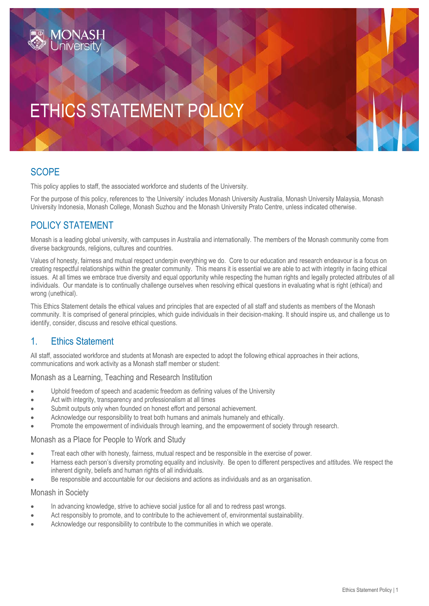# ETHICS STATEMENT POLICY

# **SCOPE**

This policy applies to staff, the associated workforce and students of the University.

For the purpose of this policy, references to 'the University' includes Monash University Australia, Monash University Malaysia, Monash University Indonesia, Monash College, Monash Suzhou and the Monash University Prato Centre, unless indicated otherwise.

### POLICY STATEMENT

Monash is a leading global university, with campuses in Australia and internationally. The members of the Monash community come from diverse backgrounds, religions, cultures and countries.

Values of honesty, fairness and mutual respect underpin everything we do. Core to our education and research endeavour is a focus on creating respectful relationships within the greater community. This means it is essential we are able to act with integrity in facing ethical issues. At all times we embrace true diversity and equal opportunity while respecting the human rights and legally protected attributes of all individuals. Our mandate is to continually challenge ourselves when resolving ethical questions in evaluating what is right (ethical) and wrong (unethical).

This Ethics Statement details the ethical values and principles that are expected of all staff and students as members of the Monash community. It is comprised of general principles, which guide individuals in their decision-making. It should inspire us, and challenge us to identify, consider, discuss and resolve ethical questions.

#### 1. Ethics Statement

All staff, associated workforce and students at Monash are expected to adopt the following ethical approaches in their actions, communications and work activity as a Monash staff member or student:

#### Monash as a Learning, Teaching and Research Institution

- Uphold freedom of speech and academic freedom as defining values of the University
- Act with integrity, transparency and professionalism at all times
- Submit outputs only when founded on honest effort and personal achievement.
- Acknowledge our responsibility to treat both humans and animals humanely and ethically.
- Promote the empowerment of individuals through learning, and the empowerment of society through research.

#### Monash as a Place for People to Work and Study

- Treat each other with honesty, fairness, mutual respect and be responsible in the exercise of power.
- Harness each person's diversity promoting equality and inclusivity. Be open to different perspectives and attitudes. We respect the inherent dignity, beliefs and human rights of all individuals.
- Be responsible and accountable for our decisions and actions as individuals and as an organisation.

#### Monash in Society

- In advancing knowledge, strive to achieve social justice for all and to redress past wrongs.
- Act responsibly to promote, and to contribute to the achievement of, environmental sustainability.
- Acknowledge our responsibility to contribute to the communities in which we operate.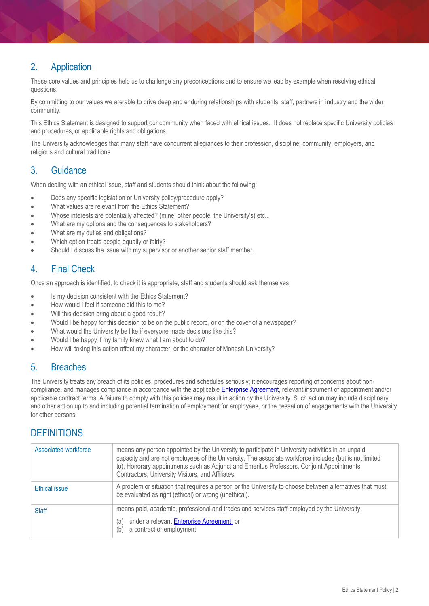# 2. Application

These core values and principles help us to challenge any preconceptions and to ensure we lead by example when resolving ethical questions.

By committing to our values we are able to drive deep and enduring relationships with students, staff, partners in industry and the wider community.

This Ethics Statement is designed to support our community when faced with ethical issues. It does not replace specific University policies and procedures, or applicable rights and obligations.

The University acknowledges that many staff have concurrent allegiances to their profession, discipline, community, employers, and religious and cultural traditions.

# 3. Guidance

When dealing with an ethical issue, staff and students should think about the following:

- Does any specific legislation or University policy/procedure apply?
- What values are relevant from the Ethics Statement?
- Whose interests are potentially affected? (mine, other people, the University's) etc...
- What are my options and the consequences to stakeholders?
- What are my duties and obligations?
- Which option treats people equally or fairly?
- Should I discuss the issue with my supervisor or another senior staff member.

#### 4. Final Check

Once an approach is identified, to check it is appropriate, staff and students should ask themselves:

- Is my decision consistent with the Ethics Statement?
- How would I feel if someone did this to me?
- Will this decision bring about a good result?
- Would I be happy for this decision to be on the public record, or on the cover of a newspaper?
- What would the University be like if everyone made decisions like this?
- Would I be happy if my family knew what I am about to do?
- How will taking this action affect my character, or the character of Monash University?

#### 5. Breaches

The University treats any breach of its policies, procedures and schedules seriously; it encourages reporting of concerns about non-compliance, and manages compliance in accordance with the applicable [Enterprise Agreement,](https://www.monash.edu/current-enterprise-agreements/academic-professional-2019) relevant instrument of appointment and/or applicable contract terms. A failure to comply with this policies may result in action by the University. Such action may include disciplinary and other action up to and including potential termination of employment for employees, or the cessation of engagements with the University for other persons.

# **DEFINITIONS**

| Associated workforce | means any person appointed by the University to participate in University activities in an unpaid<br>capacity and are not employees of the University. The associate workforce includes (but is not limited<br>to), Honorary appointments such as Adjunct and Emeritus Professors, Conjoint Appointments,<br>Contractors, University Visitors, and Affiliates. |
|----------------------|----------------------------------------------------------------------------------------------------------------------------------------------------------------------------------------------------------------------------------------------------------------------------------------------------------------------------------------------------------------|
| Ethical issue        | A problem or situation that requires a person or the University to choose between alternatives that must<br>be evaluated as right (ethical) or wrong (unethical).                                                                                                                                                                                              |
| <b>Staff</b>         | means paid, academic, professional and trades and services staff employed by the University:<br>under a relevant Enterprise Agreement; or<br>(a)<br>a contract or employment.<br>(b)                                                                                                                                                                           |